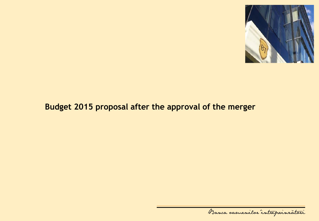

## **Budget 2015 proposal after the approval of the merger**

Banca oarnenilor intreprinzatori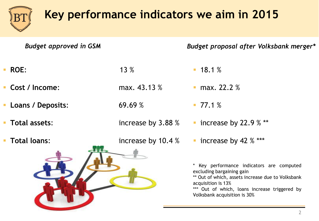

## **Key performance indicators we aim in 2015**

| <b>Budget approved in GSM</b>                      |                      | Budget proposal after Volksbank merger*                                                                                                                                                                                            |
|----------------------------------------------------|----------------------|------------------------------------------------------------------------------------------------------------------------------------------------------------------------------------------------------------------------------------|
| <b>ROE:</b><br>$\mathcal{L}_{\mathcal{A}}$         | 13 %                 | $\blacksquare$ 18.1 %                                                                                                                                                                                                              |
| Cost / Income:<br><b>College</b>                   | max. $43.13\%$       | <b>max.</b> 22.2 $\%$                                                                                                                                                                                                              |
| • Loans / Deposits:                                | 69.69 %              | $-77.1%$                                                                                                                                                                                                                           |
| <b>Total assets:</b>                               | increase by $3.88\%$ | $\blacksquare$ increase by 22.9 % **                                                                                                                                                                                               |
| <b>Total loans:</b><br>$\mathcal{L}_{\mathcal{A}}$ | increase by 10.4 %   | $\blacksquare$ increase by 42 % ***                                                                                                                                                                                                |
|                                                    |                      | * Key performance indicators are computed<br>excluding bargaining gain<br>** Out of which, assets increase due to Volksbank<br>acquisition is 13%<br>*** Out of which, loans increase triggered by<br>Volksbank acquisition is 30% |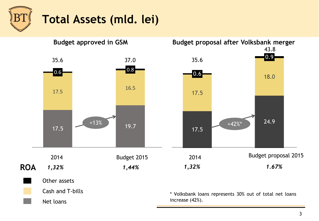

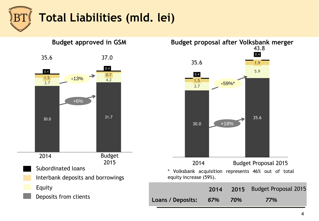



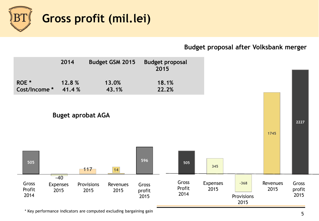

## **Budget proposal after Volksbank merger**



\* Key performance indicators are computed excluding bargaining gain